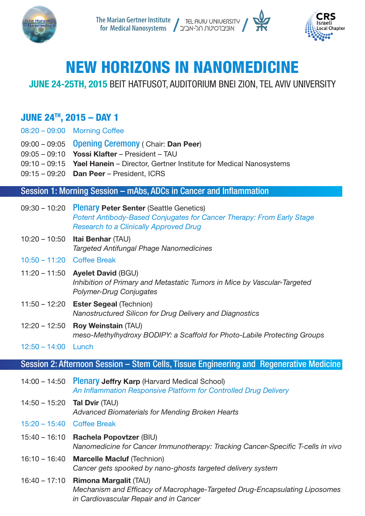



# NEW HORIZONS IN NANOMEDICINE

## **JUNE 24-25TH, 2015 BEIT HATFUSOT, AUDITORIUM BNEI ZION, TEL AVIV UNIVERSITY**

### $JUNE 24<sup>TH</sup>$ , 2015 - DAY 1

- 08:20 09:00 Morning Coffee
- 09:00 09:05 Opening Ceremony ( Chair: Dan Peer)
- $09:05 09:10$  Yossi Klafter President TAU
- $09:10 09:15$  Yael Hanein Director, Gertner Institute for Medical Nanosystems
- $09:15 09:20$  Dan Peer President, ICRS

#### Session 1: Morning Session – mAbs, ADCs in Cancer and Inflammation

- $(0.30 10.20)$  Plenary Peter Senter (Seattle Genetics) **Potent Antibody-Based Conjugates for Cancer Therapy: From Early Stage Research to a Clinically Approved Drug**
- $10:20 10:50$  Itai Benhar (TAU) *Nanomedicines Phage Antifungal Targeted*
- $10:50 11:20$  Coffee Break
- $11:20 11:50$  Ayelet David (BGU) *Inhibition of Primary and Metastatic Tumors in Mice by Vascular-Targeted Conjugates Drug-Polymer*
- $11:50 12:20$  Ester Segeal (Technion) *Nanostructured Silicon for Drug Delivery and Diagnostics*
- 12:20 12:50 **Roy Weinstain** (TAU) meso-Methylhydroxy BODIPY: a Scaffold for Photo-Labile Protecting Groups
- $12:50 14:00$  Lunch

#### Session 2: Afternoon Session – Stem Cells, Tissue Engineering and Regenerative Medicine

- $14:00 14:50$  Plenary Jeffry Karp (Harvard Medical School) An Inflammation Responsive Platform for Controlled Drug Delivery
- $14:50 15:20$  Tal Dvir (TAU) Advanced Biomaterials for Mending Broken Hearts
- 15:20 15:40 Coffee Break
- 15:40 16:10 Rachela Popovtzer (BIU) *Nanomedicine for Cancer Immunotherapy: Tracking Cancer-Specific T-cells in vivo*
- 16:10 16:40 Marcelle Macluf (Technion) Cancer gets spooked by nano-ghosts targeted delivery system
- 16:40 17:10 **Rimona Margalit (TAU)** *Mechanism and Efficacy of Macrophage-Targeted Drug-Encapsulating Liposomes in Cardiovascular Repair and in Cancer*